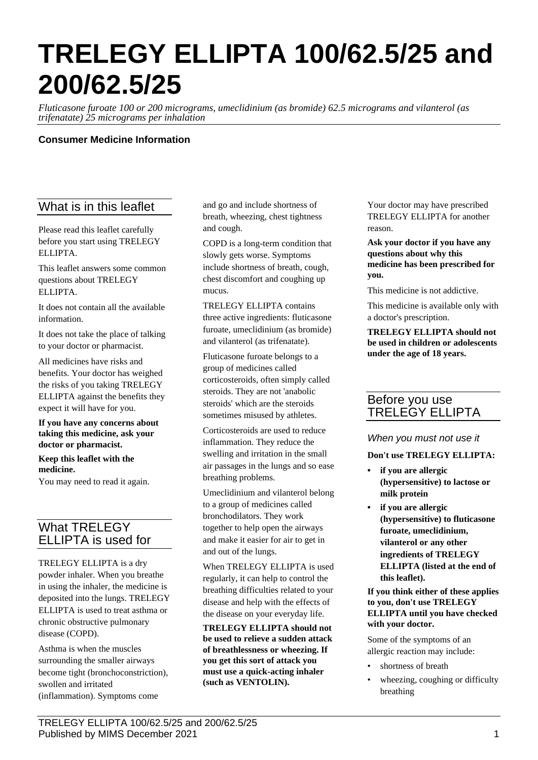# **TRELEGY ELLIPTA 100/62.5/25 and 200/62.5/25**

*Fluticasone furoate 100 or 200 micrograms, umeclidinium (as bromide) 62.5 micrograms and vilanterol (as trifenatate) 25 micrograms per inhalation*

## **Consumer Medicine Information**

# What is in this leaflet

Please read this leaflet carefully before you start using TRELEGY ELLIPTA.

This leaflet answers some common questions about TRELEGY ELLIPTA.

It does not contain all the available information.

It does not take the place of talking to your doctor or pharmacist.

All medicines have risks and benefits. Your doctor has weighed the risks of you taking TRELEGY ELLIPTA against the benefits they expect it will have for you.

**If you have any concerns about taking this medicine, ask your doctor or pharmacist.**

**Keep this leaflet with the medicine.**

You may need to read it again.

# What TRELEGY ELLIPTA is used for

TRELEGY ELLIPTA is a dry powder inhaler. When you breathe in using the inhaler, the medicine is deposited into the lungs. TRELEGY ELLIPTA is used to treat asthma or chronic obstructive pulmonary disease (COPD).

Asthma is when the muscles surrounding the smaller airways become tight (bronchoconstriction), swollen and irritated (inflammation). Symptoms come

and go and include shortness of breath, wheezing, chest tightness and cough.

COPD is a long-term condition that slowly gets worse. Symptoms include shortness of breath, cough, chest discomfort and coughing up mucus.

TRELEGY ELLIPTA contains three active ingredients: fluticasone furoate, umeclidinium (as bromide) and vilanterol (as trifenatate).

Fluticasone furoate belongs to a group of medicines called corticosteroids, often simply called steroids. They are not 'anabolic steroids' which are the steroids sometimes misused by athletes.

Corticosteroids are used to reduce inflammation. They reduce the swelling and irritation in the small air passages in the lungs and so ease breathing problems.

Umeclidinium and vilanterol belong to a group of medicines called bronchodilators. They work together to help open the airways and make it easier for air to get in and out of the lungs.

When TRELEGY ELLIPTA is used regularly, it can help to control the breathing difficulties related to your disease and help with the effects of the disease on your everyday life.

**TRELEGY ELLIPTA should not be used to relieve a sudden attack of breathlessness or wheezing. If you get this sort of attack you must use a quick-acting inhaler (such as VENTOLIN).**

Your doctor may have prescribed TRELEGY ELLIPTA for another reason.

**Ask your doctor if you have any questions about why this medicine has been prescribed for you.**

This medicine is not addictive.

This medicine is available only with a doctor's prescription.

**TRELEGY ELLIPTA should not be used in children or adolescents under the age of 18 years.**

# Before you use TRELEGY ELLIPTA

#### *When you must not use it*

**Don't use TRELEGY ELLIPTA:**

- **• if you are allergic (hypersensitive) to lactose or milk protein**
- **• if you are allergic (hypersensitive) to fluticasone furoate, umeclidinium, vilanterol or any other ingredients of TRELEGY ELLIPTA (listed at the end of this leaflet).**

**If you think either of these applies to you, don't use TRELEGY ELLIPTA until you have checked with your doctor.**

Some of the symptoms of an allergic reaction may include:

- shortness of breath
- wheezing, coughing or difficulty breathing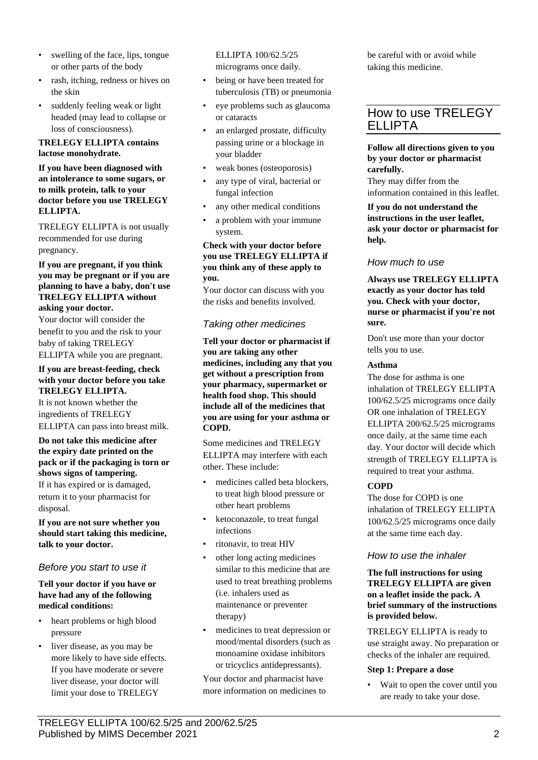- swelling of the face, lips, tongue or other parts of the body
- rash, itching, redness or hives on the skin
- suddenly feeling weak or light headed (may lead to collapse or loss of consciousness).

#### **TRELEGY ELLIPTA contains lactose monohydrate.**

**If you have been diagnosed with an intolerance to some sugars, or to milk protein, talk to your doctor before you use TRELEGY ELLIPTA.**

TRELEGY ELLIPTA is not usually recommended for use during pregnancy.

#### **If you are pregnant, if you think you may be pregnant or if you are planning to have a baby, don't use TRELEGY ELLIPTA without asking your doctor.**

Your doctor will consider the benefit to you and the risk to your baby of taking TRELEGY ELLIPTA while you are pregnant.

#### **If you are breast-feeding, check with your doctor before you take TRELEGY ELLIPTA.**

It is not known whether the ingredients of TRELEGY ELLIPTA can pass into breast milk.

#### **Do not take this medicine after the expiry date printed on the pack or if the packaging is torn or shows signs of tampering.**

If it has expired or is damaged, return it to your pharmacist for disposal.

**If you are not sure whether you should start taking this medicine, talk to your doctor.**

## *Before you start to use it*

#### **Tell your doctor if you have or have had any of the following medical conditions:**

- heart problems or high blood pressure
- liver disease, as you may be more likely to have side effects. If you have moderate or severe liver disease, your doctor will limit your dose to TRELEGY

ELLIPTA 100/62.5/25 micrograms once daily.

- being or have been treated for tuberculosis (TB) or pneumonia
- eye problems such as glaucoma or cataracts
- an enlarged prostate, difficulty passing urine or a blockage in your bladder
- weak bones (osteoporosis)
- any type of viral, bacterial or fungal infection
- any other medical conditions
- a problem with your immune system.

#### **Check with your doctor before you use TRELEGY ELLIPTA if you think any of these apply to you.**

Your doctor can discuss with you the risks and benefits involved.

# *Taking other medicines*

**Tell your doctor or pharmacist if you are taking any other medicines, including any that you get without a prescription from your pharmacy, supermarket or health food shop. This should include all of the medicines that you are using for your asthma or COPD.**

Some medicines and TRELEGY ELLIPTA may interfere with each other. These include:

- medicines called beta blockers, to treat high blood pressure or other heart problems
- ketoconazole, to treat fungal infections
- ritonavir, to treat HIV
- other long acting medicines similar to this medicine that are used to treat breathing problems (i.e. inhalers used as maintenance or preventer therapy)
- medicines to treat depression or mood/mental disorders (such as monoamine oxidase inhibitors or tricyclics antidepressants).

Your doctor and pharmacist have more information on medicines to be careful with or avoid while taking this medicine.

# How to use TRELEGY ELLIPTA

**Follow all directions given to you by your doctor or pharmacist carefully.**

They may differ from the information contained in this leaflet.

#### **If you do not understand the instructions in the user leaflet, ask your doctor or pharmacist for help.**

## *How much to use*

**Always use TRELEGY ELLIPTA exactly as your doctor has told you. Check with your doctor, nurse or pharmacist if you're not sure.**

Don't use more than your doctor tells you to use.

## **Asthma**

The dose for asthma is one inhalation of TRELEGY ELLIPTA 100/62.5/25 micrograms once daily OR one inhalation of TRELEGY ELLIPTA 200/62.5/25 micrograms once daily, at the same time each day. Your doctor will decide which strength of TRELEGY ELLIPTA is required to treat your asthma.

## **COPD**

The dose for COPD is one inhalation of TRELEGY ELLIPTA 100/62.5/25 micrograms once daily at the same time each day.

## *How to use the inhaler*

**The full instructions for using TRELEGY ELLIPTA are given on a leaflet inside the pack. A brief summary of the instructions is provided below.**

TRELEGY ELLIPTA is ready to use straight away. No preparation or checks of the inhaler are required.

## **Step 1: Prepare a dose**

• Wait to open the cover until you are ready to take your dose.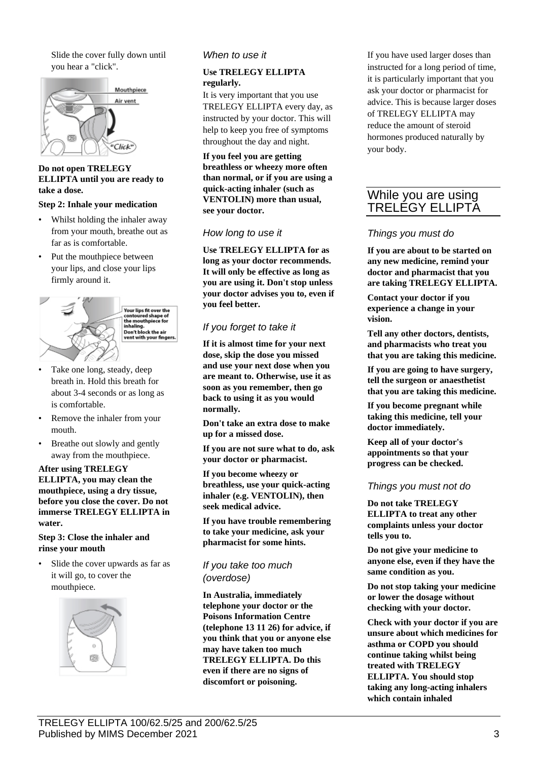Slide the cover fully down until you hear a "click".



#### **Do not open TRELEGY ELLIPTA until you are ready to take a dose.**

#### **Step 2: Inhale your medication**

- Whilst holding the inhaler away from your mouth, breathe out as far as is comfortable.
- Put the mouthpiece between your lips, and close your lips firmly around it.



- Take one long, steady, deep breath in. Hold this breath for about 3-4 seconds or as long as is comfortable.
- Remove the inhaler from your mouth.
- Breathe out slowly and gently away from the mouthpiece.

#### **After using TRELEGY ELLIPTA, you may clean the mouthpiece, using a dry tissue, before you close the cover. Do not immerse TRELEGY ELLIPTA in water.**

#### **Step 3: Close the inhaler and rinse your mouth**

Slide the cover upwards as far as it will go, to cover the mouthpiece.



#### *When to use it*

#### **Use TRELEGY ELLIPTA regularly.**

It is very important that you use TRELEGY ELLIPTA every day, as instructed by your doctor. This will help to keep you free of symptoms throughout the day and night.

**If you feel you are getting breathless or wheezy more often than normal, or if you are using a quick-acting inhaler (such as VENTOLIN) more than usual, see your doctor.**

#### *How long to use it*

**Use TRELEGY ELLIPTA for as long as your doctor recommends. It will only be effective as long as you are using it. Don't stop unless your doctor advises you to, even if you feel better.**

## *If you forget to take it*

**If it is almost time for your next dose, skip the dose you missed and use your next dose when you are meant to. Otherwise, use it as soon as you remember, then go back to using it as you would normally.**

**Don't take an extra dose to make up for a missed dose.**

**If you are not sure what to do, ask your doctor or pharmacist.**

**If you become wheezy or breathless, use your quick-acting inhaler (e.g. VENTOLIN), then seek medical advice.**

**If you have trouble remembering to take your medicine, ask your pharmacist for some hints.**

## *If you take too much (overdose)*

**In Australia, immediately telephone your doctor or the Poisons Information Centre (telephone 13 11 26) for advice, if you think that you or anyone else may have taken too much TRELEGY ELLIPTA. Do this even if there are no signs of discomfort or poisoning.**

If you have used larger doses than instructed for a long period of time, it is particularly important that you ask your doctor or pharmacist for advice. This is because larger doses of TRELEGY ELLIPTA may reduce the amount of steroid hormones produced naturally by your body.

# While you are using TRELEGY ELLIPTA

#### *Things you must do*

**If you are about to be started on any new medicine, remind your doctor and pharmacist that you are taking TRELEGY ELLIPTA.**

**Contact your doctor if you experience a change in your vision.**

**Tell any other doctors, dentists, and pharmacists who treat you that you are taking this medicine.**

**If you are going to have surgery, tell the surgeon or anaesthetist that you are taking this medicine.**

**If you become pregnant while taking this medicine, tell your doctor immediately.**

**Keep all of your doctor's appointments so that your progress can be checked.**

#### *Things you must not do*

**Do not take TRELEGY ELLIPTA to treat any other complaints unless your doctor tells you to.**

**Do not give your medicine to anyone else, even if they have the same condition as you.**

**Do not stop taking your medicine or lower the dosage without checking with your doctor.**

**Check with your doctor if you are unsure about which medicines for asthma or COPD you should continue taking whilst being treated with TRELEGY ELLIPTA. You should stop taking any long-acting inhalers which contain inhaled**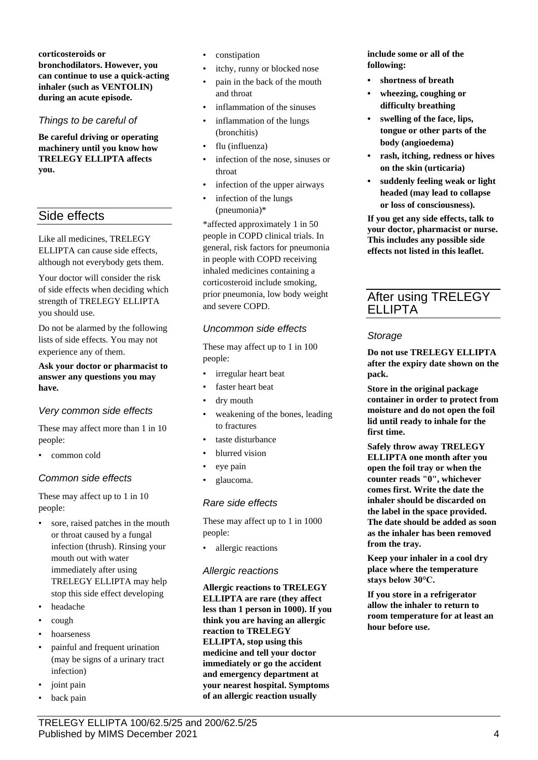**corticosteroids or bronchodilators. However, you can continue to use a quick-acting inhaler (such as VENTOLIN) during an acute episode.**

## *Things to be careful of*

**Be careful driving or operating machinery until you know how TRELEGY ELLIPTA affects you.**

# Side effects

Like all medicines, TRELEGY ELLIPTA can cause side effects, although not everybody gets them.

Your doctor will consider the risk of side effects when deciding which strength of TRELEGY ELLIPTA you should use.

Do not be alarmed by the following lists of side effects. You may not experience any of them.

**Ask your doctor or pharmacist to answer any questions you may have.**

## *Very common side effects*

These may affect more than 1 in 10 people:

• common cold

## *Common side effects*

These may affect up to 1 in 10 people:

- sore, raised patches in the mouth or throat caused by a fungal infection (thrush). Rinsing your mouth out with water immediately after using TRELEGY ELLIPTA may help stop this side effect developing
- headache
- cough
- hoarseness
- painful and frequent urination (may be signs of a urinary tract infection)
- joint pain
- back pain
- constipation
- itchy, runny or blocked nose
- pain in the back of the mouth and throat
- inflammation of the sinuses
- inflammation of the lungs (bronchitis)
- flu (influenza)
- infection of the nose, sinuses or throat
- infection of the upper airways
- infection of the lungs (pneumonia)\*

\*affected approximately 1 in 50 people in COPD clinical trials. In general, risk factors for pneumonia in people with COPD receiving inhaled medicines containing a corticosteroid include smoking, prior pneumonia, low body weight and severe COPD.

## *Uncommon side effects*

These may affect up to 1 in 100 people:

- irregular heart beat
- faster heart beat
- dry mouth
- weakening of the bones, leading to fractures
- taste disturbance
- blurred vision
- eye pain
- glaucoma.

## *Rare side effects*

These may affect up to 1 in 1000 people:

allergic reactions

## *Allergic reactions*

**Allergic reactions to TRELEGY ELLIPTA are rare (they affect less than 1 person in 1000). If you think you are having an allergic reaction to TRELEGY ELLIPTA, stop using this medicine and tell your doctor immediately or go the accident and emergency department at your nearest hospital. Symptoms of an allergic reaction usually** 

**include some or all of the following:**

- **• shortness of breath**
- **• wheezing, coughing or difficulty breathing**
- **• swelling of the face, lips, tongue or other parts of the body (angioedema)**
- **• rash, itching, redness or hives on the skin (urticaria)**
- **• suddenly feeling weak or light headed (may lead to collapse or loss of consciousness).**

**If you get any side effects, talk to your doctor, pharmacist or nurse. This includes any possible side effects not listed in this leaflet.**

# After using TRELEGY ELLIPTA

## *Storage*

**Do not use TRELEGY ELLIPTA after the expiry date shown on the pack.**

**Store in the original package container in order to protect from moisture and do not open the foil lid until ready to inhale for the first time.**

**Safely throw away TRELEGY ELLIPTA one month after you open the foil tray or when the counter reads "0", whichever comes first. Write the date the inhaler should be discarded on the label in the space provided. The date should be added as soon as the inhaler has been removed from the tray.**

**Keep your inhaler in a cool dry place where the temperature stays below 30°C.**

**If you store in a refrigerator allow the inhaler to return to room temperature for at least an hour before use.**